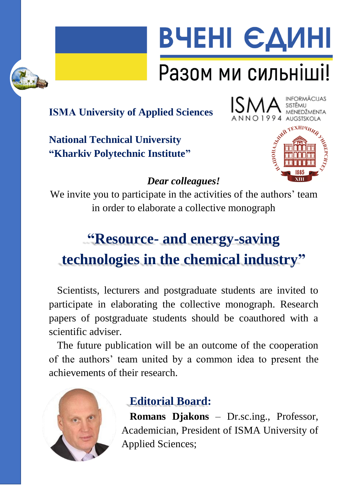



# Разом ми сильніші!

# **ІSMA University of Applied Sciences**

**National Technical University "Kharkiv Polytechnic Institute"**



94 AUGSTSKOLA



#### *Dear colleagues!*

We invite you to participate in the activities of the authors' team in order to elaborate a collective monograph

# **"Resource- and energy-saving technologies in the chemical industry"**

Scientists, lecturers and postgraduate students are invited to participate in elaborating the collective monograph. Research papers of postgraduate students should be coauthored with a scientific adviser.

The future publication will be an outcome of the cooperation of the authors' team united by a common idea to present the achievements of their research.



# **Editorial Board:**

**Romans Djakons** – Dr.sc.ing., Professor, Academician, President of ISMA University of Applied Sciences;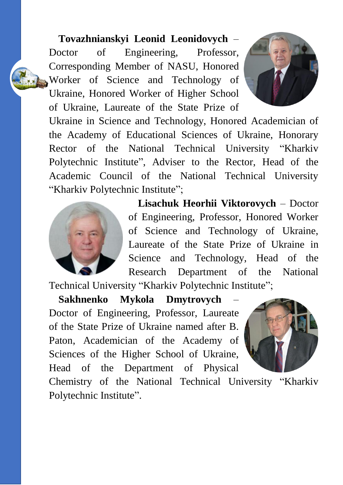#### **Tovazhnianskyi Leonid Leonidovych** –

Doctor of Engineering, Professor, Corresponding Member of NASU, Honored Worker of Science and Technology of Ukraine, Honored Worker of Higher School of Ukraine, Laureate of the State Prize of



Ukraine in Science and Technology, Honored Academician of the Academy of Educational Sciences of Ukraine, Honorary Rector of the National Technical University "Kharkiv Polytechnic Institute", Adviser to the Rector, Head of the Academic Council of the National Technical University "Kharkiv Polytechnic Institute";



**Lisachuk Heorhii Viktorovych** – Doctor of Engineering, Professor, Honored Worker of Science and Technology of Ukraine, Laureate of the State Prize of Ukraine in Science and Technology, Head of the Research Department of the National

Technical University "Kharkiv Polytechnic Institute";

**Sakhnenko Mykola Dmytrovych** – Doctor of Engineering, Professor, Laureate of the State Prize of Ukraine named after B. Paton, Academician of the Academy of Sciences of the Higher School of Ukraine, Head of the Department of Physical



Chemistry of the National Technical University "Kharkiv Polytechnic Institute".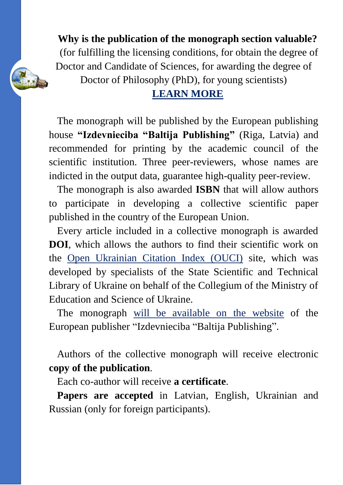**Why is the publication of the monograph section valuable?** (for fulfilling the licensing conditions, for obtain the degree of Doctor and Candidate of Sciences, for awarding the degree of Doctor of Philosophy (PhD), for young scientists)

#### **[LEARN MORE](https://cuesc.org.ua/images/informlist/value.pdf)**

The monograph will be published by the European publishing house **"Izdevnieciba "Baltija Publishing"** (Riga, Latvia) and recommended for printing by the academic council of the scientific institution. Three peer-reviewers, whose names are indicted in the output data, guarantee high-quality peer-review.

The monograph is also awarded **ISBN** that will allow authors to participate in developing a collective scientific paper published in the country of the European Union.

Every article included in a collective monograph is awarded **DOI**, which allows the authors to find their scientific work on the [Open Ukrainian Citation Index \(OUCI\)](http://ouci.dntb.gov.ua/) site, which was developed by specialists of the State Scientific and Technical Library of Ukraine on behalf of the Collegium of the Ministry of Education and Science of Ukraine.

The monograph [will be available on the website](http://baltijapublishing.lv/omp/index.php/bp/catalog/category/mono) of the European publisher "Izdevnieciba "Baltija Publishing".

Authors of the collective monograph will receive electronic **copy of the publication**.

Each co-author will receive **a certificate**.

**Papers are accepted** in Latvian, English, Ukrainian and Russian (only for foreign participants).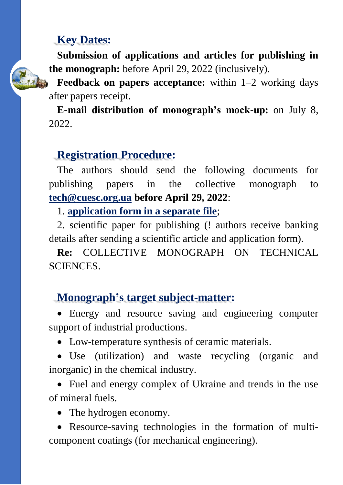#### **Key Dates:**

**Submission of applications and articles for publishing in the monograph:** before April 29, 2022 (inclusively).

**Feedback on papers acceptance:** within 1–2 working days after papers receipt.

**E-mail distribution of monograph's mock-up:** on July 8, 2022.

#### **Registration Procedure:**

The authors should send the following documents for publishing papers in the collective monograph to **[tech@cuesc.org.ua](mailto:tech@cuesc.org.ua) before April 29, 2022**:

1. **[application form in a separate file](https://docs.google.com/forms/d/e/1FAIpQLSefjRE9NvwOiCNX9K_C_gP7coPL1eI-bR2A_45Ft2SeJqrbmQ/viewform)**;

2. scientific paper for publishing (! authors receive banking details after sending a scientific article and application form).

**Re:** COLLECTIVE MONOGRAPH ON TECHNICAL SCIENCES.

### **Monograph's target subject-matter:**

 Energy and resource saving and engineering computer support of industrial productions.

Low-temperature synthesis of ceramic materials.

 Use (utilization) and waste recycling (organic and inorganic) in the chemical industry.

 Fuel and energy complex of Ukraine and trends in the use of mineral fuels.

• The hydrogen economy.

 Resource-saving technologies in the formation of multicomponent coatings (for mechanical engineering).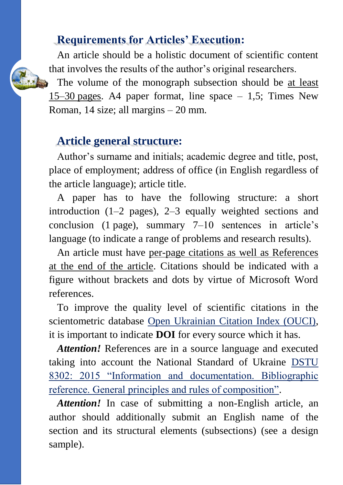#### **Requirements for Articles' Execution:**

An article should be a holistic document of scientific content that involves the results of the author's original researchers.

The volume of the monograph subsection should be at least 15–30 pages. A4 paper format, line space – 1,5; Times New Roman, 14 size; all margins – 20 mm.

#### **Article general structure:**

Author's surname and initials; academic degree and title, post, place of employment; address of office (in English regardless of the article language); article title.

A paper has to have the following structure: a short introduction (1–2 pages), 2–3 equally weighted sections and conclusion (1 page), summary 7–10 sentences in article's language (to indicate a range of problems and research results).

An article must have per-page citations as well as References at the end of the article. Citations should be indicated with a figure without brackets and dots by virtue of Microsoft Word references.

To improve the quality level of scientific citations in the scientometric database [Open Ukrainian Citation Index \(OUCI\),](http://ouci.dntb.gov.ua/) it is important to indicate **DOI** for every source which it has.

*Attention!* References are in a source language and executed taking into account the National Standard of Ukraine [DSTU](https://cuesc.org.ua/bibl.pdf)  [8302: 2015 "Information and documentation. Bibliographic](https://cuesc.org.ua/bibl.pdf)  [reference. General principles and rules of composition".](https://cuesc.org.ua/bibl.pdf)

*Attention!* In case of submitting a non-English article, an author should additionally submit an English name of the section and its structural elements (subsections) (see a design sample).